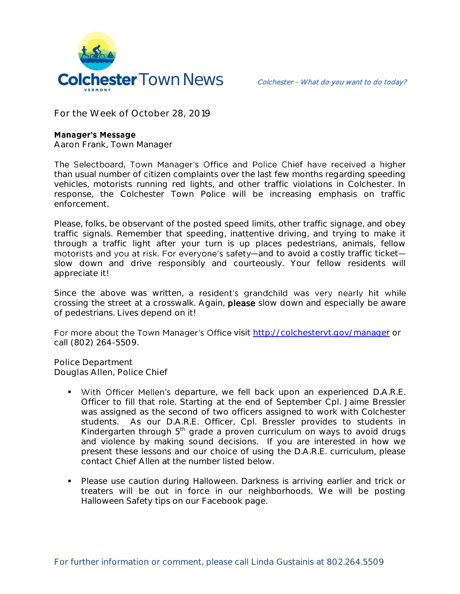

**For the Week of October 28, 2019**

## **Manager's Message**

**Aaron Frank, Town Manager**

The Selectboard, Town Manager's Office and Police Chief have received a higher than usual number of citizen complaints over the last few months regarding speeding vehicles, motorists running red lights, and other traffic violations in Colchester. In response, the Colchester Town Police will be increasing emphasis on traffic enforcement.

Please, folks, be observant of the posted speed limits, other traffic signage, and obey traffic signals. Remember that speeding, inattentive driving, and trying to make it through a traffic light after your turn is up places pedestrians, animals, fellow motorists and you at risk. For everyone's safety-and to avoid a costly traffic ticketslow down and drive responsibly and courteously. Your fellow residents will appreciate it!

Since the above was written, a resident's grandchild was very nearly hit while crossing the street at a crosswalk. Again, please slow down and especially be aware of pedestrians. Lives depend on it!

For more about the Town Manager's Office visit<http://colchestervt.gov/manager> or call (802) 264-5509.

**Police Department Douglas Allen, Police Chief** 

- With Officer Mellen's departure, we fell back upon an experienced D.A.R.E. Officer to fill that role. Starting at the end of September Cpl. Jaime Bressler was assigned as the second of two officers assigned to work with Colchester students. As our D.A.R.E. Officer, Cpl. Bressler provides to students in Kindergarten through  $5<sup>th</sup>$  grade a proven curriculum on ways to avoid drugs and violence by making sound decisions. If you are interested in how we present these lessons and our choice of using the D.A.R.E. curriculum, please contact Chief Allen at the number listed below.
- **Please use caution during Halloween. Darkness is arriving earlier and trick or** treaters will be out in force in our neighborhoods. We will be posting Halloween Safety tips on our Facebook page.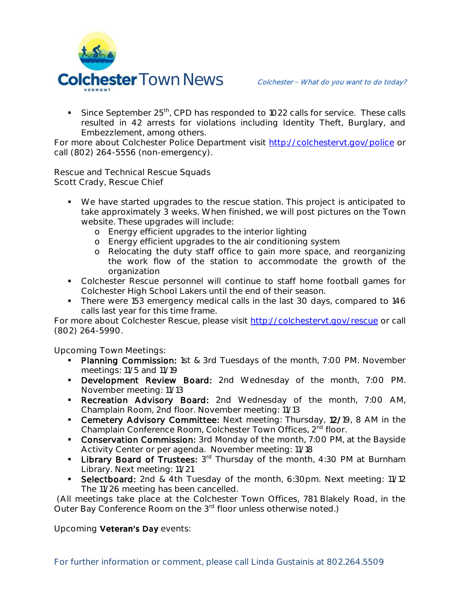

Since September  $25<sup>th</sup>$ , CPD has responded to 1022 calls for service. These calls resulted in 42 arrests for violations including Identity Theft, Burglary, and Embezzlement, among others.

For more about Colchester Police Department visit<http://colchestervt.gov/police> or call (802) 264-5556 (non-emergency).

**Rescue and Technical Rescue Squads Scott Crady, Rescue Chief**

- We have started upgrades to the rescue station. This project is anticipated to take approximately 3 weeks. When finished, we will post pictures on the Town website. These upgrades will include:
	- o Energy efficient upgrades to the interior lighting
	- o Energy efficient upgrades to the air conditioning system
	- o Relocating the duty staff office to gain more space, and reorganizing the work flow of the station to accommodate the growth of the organization
- Colchester Rescue personnel will continue to staff home football games for Colchester High School Lakers until the end of their season.
- There were 153 emergency medical calls in the last 30 days, compared to 146 calls last year for this time frame.

For more about Colchester Rescue, please visit [http://colchestervt.gov/rescue](http://colchestervt.gov/rescue/index.shtml) or call (802) 264-5990.

**Upcoming Town Meetings:** 

- Planning Commission: 1st & 3rd Tuesdays of the month, 7:00 PM. November meetings: 11/5 and 11/19
- **-** Development Review Board: 2nd Wednesday of the month, 7:00 PM. November meeting: 11/13
- **Recreation Advisory Board:** 2nd Wednesday of the month, 7:00 AM, Champlain Room, 2nd floor. November meeting: 11/13
- **Cemetery Advisory Committee:** Next meeting: Thursday, 12/19, 8 AM in the Champlain Conference Room, Colchester Town Offices, 2<sup>nd</sup> floor.
- **Conservation Commission:** 3rd Monday of the month, 7:00 PM, at the Bayside Activity Center or per agenda. November meeting: 11/18
- **Library Board of Trustees:**  $3^{rd}$  Thursday of the month, 4:30 PM at Burnham Library. Next meeting: 11/21
- **Selectboard:** 2nd & 4th Tuesday of the month, 6:30pm. Next meeting: 11/12 The 11/26 meeting has been cancelled.

(All meetings take place at the Colchester Town Offices, 781 Blakely Road, in the Outer Bay Conference Room on the 3<sup>rd</sup> floor unless otherwise noted.)

**Upcoming Veteran's Day events:**